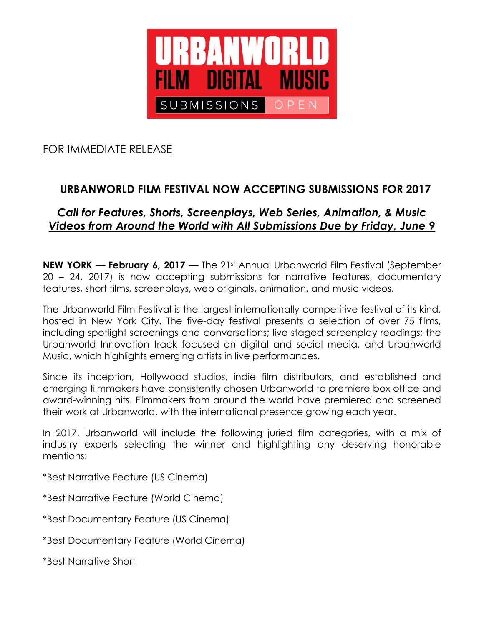

## FOR IMMEDIATE RELEASE

# **URBANWORLD FILM FESTIVAL NOW ACCEPTING SUBMISSIONS FOR 2017**

### *Call for Features, Shorts, Screenplays, Web Series, Animation, & Music Videos from Around the World with All Submissions Due by Friday, June 9*

**NEW YORK** — **February 6, 2017** — The 21st Annual Urbanworld Film Festival (September 20 – 24, 2017) is now accepting submissions for narrative features, documentary features, short films, screenplays, web originals, animation, and music videos.

The Urbanworld Film Festival is the largest internationally competitive festival of its kind, hosted in New York City. The five-day festival presents a selection of over 75 films, including spotlight screenings and conversations; live staged screenplay readings; the Urbanworld Innovation track focused on digital and social media, and Urbanworld Music, which highlights emerging artists in live performances.

Since its inception, Hollywood studios, indie film distributors, and established and emerging filmmakers have consistently chosen Urbanworld to premiere box office and award-winning hits. Filmmakers from around the world have premiered and screened their work at Urbanworld, with the international presence growing each year.

In 2017, Urbanworld will include the following juried film categories, with a mix of industry experts selecting the winner and highlighting any deserving honorable mentions:

\*Best Narrative Feature (US Cinema)

\*Best Narrative Feature (World Cinema)

\*Best Documentary Feature (US Cinema)

\*Best Documentary Feature (World Cinema)

\*Best Narrative Short